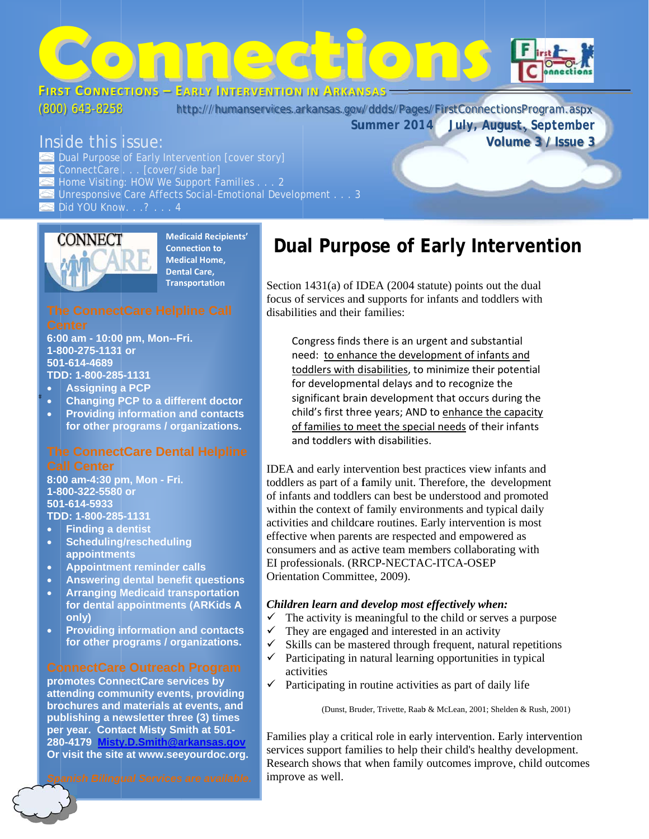

 $(800)$  643-8258

http://humanservices.arkansas.gov/ddds/Pages/FirstConnectionsProgram.aspx

Summer 2014

## Inside this issue:

Dual Purpose of Early Intervention [cover story] ConnectCare . . . [cover/side bar] Home Visiting: HOW We Support Families . . . 2 Unresponsive Care Affects Social-Emotional Development . . . 3 Did YOU Know. . .? . . . 4



**Medicaid Recipients' Connection to Medical Home, Dental Care. Transportation** 

6:00 am - 10:00 pm, Mon--Fri. 1-800-275-1131 or 501-614-4689 TDD: 1-800-285-1131

- **Assigning a PCP**
- **Changing PCP to a different doctor**
- **Providing information and contacts**
- for other programs / organizations.

### **The ConnectCare Dental Helpline Call Center**

8:00 am-4:30 pm, Mon - Fri. 1-800-322-5580 or 501-614-5933 TDD: 1-800-285-1131

- **Finding a dentist** ä
- **Scheduling/rescheduling** appointments
- **Appointment reminder calls**  $\bullet$
- **Answering dental benefit questions**
- **Arranging Medicaid transportation**  $\bullet$ for dental appointments (ARKids A only)
- **Providing information and contacts**  $\bullet$ for other programs / organizations.

promotes ConnectCare services by attending community events, providing brochures and materials at events, and publishing a newsletter three (3) times per year. Contact Misty Smith at 501-280-4179 Misty.D.Smith@arkansas.gov Or visit the site at www.seeyourdoc.org.

Spanish Bilingual Services are available.

# Dual Purpose of Early Intervention

July, August, September

Volume 3 / Issue 3

Section  $1431(a)$  of IDEA (2004 statute) points out the dual focus of services and supports for infants and toddlers with disabilities and their families:

Congress finds there is an urgent and substantial need: to enhance the development of infants and toddlers with disabilities, to minimize their potential for developmental delays and to recognize the significant brain development that occurs during the child's first three years; AND to enhance the capacity of families to meet the special needs of their infants and toddlers with disabilities.

IDEA and early intervention best practices view infants and toddlers as part of a family unit. Therefore, the development of infants and toddlers can best be understood and promoted within the context of family environments and typical daily activities and childcare routines. Early intervention is most effective when parents are respected and empowered as consumers and as active team members collaborating with EI professionals. (RRCP-NECTAC-ITCA-OSEP Orientation Committee, 2009).

#### Children learn and develop most effectively when:

- The activity is meaningful to the child or serves a purpose  $\checkmark$
- $\checkmark$ They are engaged and interested in an activity
- Skills can be mastered through frequent, natural repetitions  $\checkmark$
- Participating in natural learning opportunities in typical  $\checkmark$ activities
- Participating in routine activities as part of daily life  $\checkmark$

(Dunst, Bruder, Trivette, Raab & McLean, 2001; Shelden & Rush, 2001)

Families play a critical role in early intervention. Early intervention services support families to help their child's healthy development. Research shows that when family outcomes improve, child outcomes improve as well.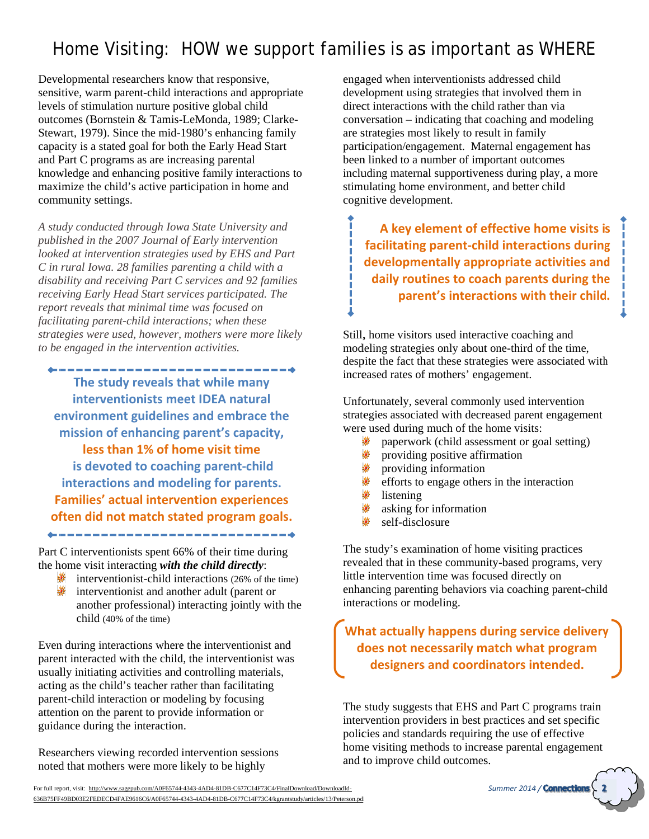# Home Visiting: HOW we support families is as important as WHERE

Developmental researchers know that responsive, sensitive, warm parent-child interactions and appropriate levels of stimulation nurture positive global child outcomes (Bornstein & Tamis-LeMonda, 1989; Clarke-Stewart, 1979). Since the mid-1980's enhancing family capacity is a stated goal for both the Early Head Start and Part C programs as are increasing parental knowledge and enhancing positive family interactions to maximize the child's active participation in home and community settings.

A study conducted through Iowa State University and published in the 2007 Journal of Early intervention looked at intervention strategies used by EHS and Part C in rural Iowa. 28 families parenting a child with a disability and receiving Part C services and 92 families receiving Early Head Start services participated. The report reveals that minimal time was focused on facilitating parent-child interactions; when these strategies were used, however, mothers were more likely to be engaged in the intervention activities.

--------------------------The study reveals that while many interventionists meet IDEA natural environment guidelines and embrace the mission of enhancing parent's capacity, less than 1% of home visit time is devoted to coaching parent-child interactions and modeling for parents. **Families' actual intervention experiences** often did not match stated program goals.

Part C interventionists spent 66% of their time during the home visit interacting with the child directly:

- $\frac{1}{2}$  interventionist-child interactions (26% of the time)
- interventionist and another adult (parent or another professional) interacting jointly with the child (40% of the time)

Even during interactions where the interventionist and parent interacted with the child, the interventionist was usually initiating activities and controlling materials, acting as the child's teacher rather than facilitating parent-child interaction or modeling by focusing attention on the parent to provide information or guidance during the interaction.

Researchers viewing recorded intervention sessions noted that mothers were more likely to be highly

engaged when interventionists addressed child development using strategies that involved them in direct interactions with the child rather than via conversation – indicating that coaching and modeling are strategies most likely to result in family participation/engagement. Maternal engagement has been linked to a number of important outcomes including maternal supportiveness during play, a more stimulating home environment, and better child cognitive development.

A key element of effective home visits is 1 facilitating parent-child interactions during developmentally appropriate activities and daily routines to coach parents during the parent's interactions with their child.

Still, home visitors used interactive coaching and modeling strategies only about one-third of the time, despite the fact that these strategies were associated with increased rates of mothers' engagement.

Unfortunately, several commonly used intervention strategies associated with decreased parent engagement were used during much of the home visits:

- paperwork (child assessment or goal setting)
- 业 providing positive affirmation
- 业 providing information
- efforts to engage others in the interaction
- listening
- asking for information
- self-disclosure

The study's examination of home visiting practices revealed that in these community-based programs, very little intervention time was focused directly on enhancing parenting behaviors via coaching parent-child interactions or modeling.

What actually happens during service delivery does not necessarily match what program designers and coordinators intended.

The study suggests that EHS and Part C programs train intervention providers in best practices and set specific policies and standards requiring the use of effective home visiting methods to increase parental engagement and to improve child outcomes.

For full report, visit: http://www.sagepub.com/A0F65744-4343-4AD4-81DB-C677C14F73C4/FinalDownload/DownloadId-636B75FF49BD03E2FEDECD4FAE9616C6/A0F65744-4343-4AD4-81DB-C677C14F73C4/kgrantstudy/articles/13/Peterson.pd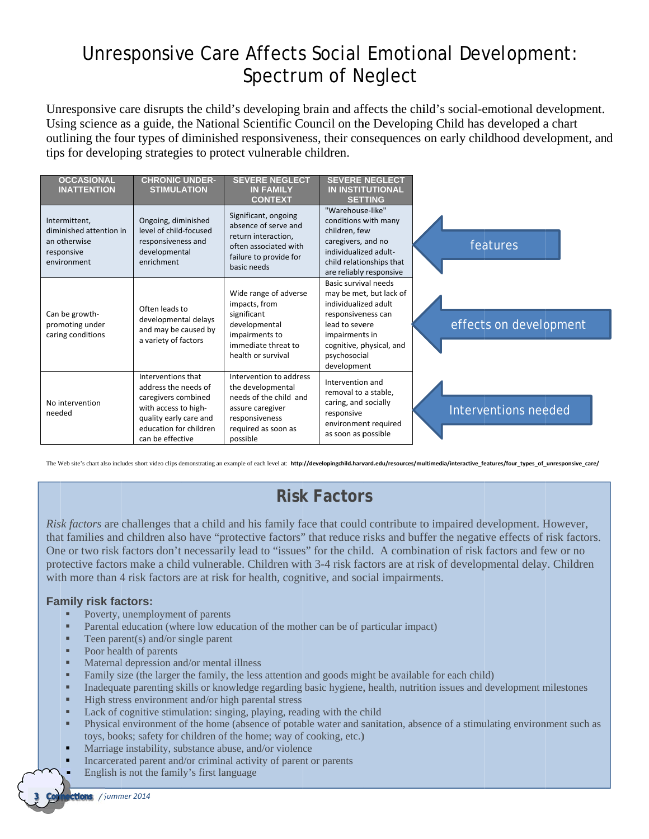# Unresponsive Care Affects Social Emotional Development: Spectrum of Neglect

Unresponsive care disrupts the child's developing brain and affects the child's social-emotional development. Using science as a guide, the National Scientific Council on the Developing Child has developed a chart outlining the four types of diminished responsiveness, their consequences on early childhood development, and tips for developing strategies to protect vulnerable children.

| <b>OCCASIONAL</b><br><b>INATTENTION</b>                                               | <b>CHRONIC UNDER-</b><br><b>STIMULATION</b>                                                                                                                       | <b>SEVERE NEGLECT</b><br><b>IN FAMILY</b><br><b>CONTEXT</b>                                                                                     | <b>SEVERE NEGLECT</b><br><b>IN INSTITUTIONAL</b><br><b>SETTING</b>                                                                                                                           |                        |
|---------------------------------------------------------------------------------------|-------------------------------------------------------------------------------------------------------------------------------------------------------------------|-------------------------------------------------------------------------------------------------------------------------------------------------|----------------------------------------------------------------------------------------------------------------------------------------------------------------------------------------------|------------------------|
| Intermittent,<br>diminished attention in<br>an otherwise<br>responsive<br>environment | Ongoing, diminished<br>level of child-focused<br>responsiveness and<br>developmental<br>enrichment                                                                | Significant, ongoing<br>absence of serve and<br>return interaction,<br>often associated with<br>failure to provide for<br>basic needs           | "Warehouse-like"<br>conditions with many<br>children, few<br>caregivers, and no<br>individualized adult-<br>child relationships that<br>are reliably responsive                              | features               |
| Can be growth-<br>promoting under<br>caring conditions                                | Often leads to<br>developmental delays<br>and may be caused by<br>a variety of factors                                                                            | Wide range of adverse<br>impacts, from<br>significant<br>developmental<br>impairments to<br>immediate threat to<br>health or survival           | Basic survival needs<br>may be met, but lack of<br>individualized adult<br>responsiveness can<br>lead to severe<br>impairments in<br>cognitive, physical, and<br>psychosocial<br>development | effects on development |
| No intervention<br>needed                                                             | Interventions that<br>address the needs of<br>caregivers combined<br>with access to high-<br>quality early care and<br>education for children<br>can be effective | Intervention to address<br>the developmental<br>needs of the child and<br>assure caregiver<br>responsiveness<br>required as soon as<br>possible | Intervention and<br>removal to a stable,<br>caring, and socially<br>responsive<br>environment required<br>as soon as possible                                                                | Interventions needed   |

The Web site's chart also includes short video clips demonstrating an example of each level at: http://developingchild.harvard.edu/resources/multimedia/interactive\_features/four\_types\_of\_unresponsive\_care/

## **Risk Factors**

Risk factors are challenges that a child and his family face that could contribute to impaired development. However, that families and children also have "protective factors" that reduce risks and buffer the negative effects of risk factors. One or two risk factors don't necessarily lead to "issues" for the child. A combination of risk factors and few or no protective factors make a child vulnerable. Children with 3-4 risk factors are at risk of developmental delay. Children with more than 4 risk factors are at risk for health, cognitive, and social impairments.

#### **Family risk factors:**

- Poverty, unemployment of parents
- Parental education (where low education of the mother can be of particular impact)
- $\mathbf{r}$ Teen parent(s) and/or single parent
- a c Poor health of parents
- Maternal depression and/or mental illness
- ×. Family size (the larger the family, the less attention and goods might be available for each child)
- Inadequate parenting skills or knowledge regarding basic hygiene, health, nutrition issues and development milestones ×.
- High stress environment and/or high parental stress
- ×. Lack of cognitive stimulation: singing, playing, reading with the child
- Physical environment of the home (absence of potable water and sanitation, absence of a stimulating environment such as л toys, books; safety for children of the home; way of cooking, etc.)
- Marriage instability, substance abuse, and/or violence
- Incarcerated parent and/or criminal activity of parent or parents
- English is not the family's first language